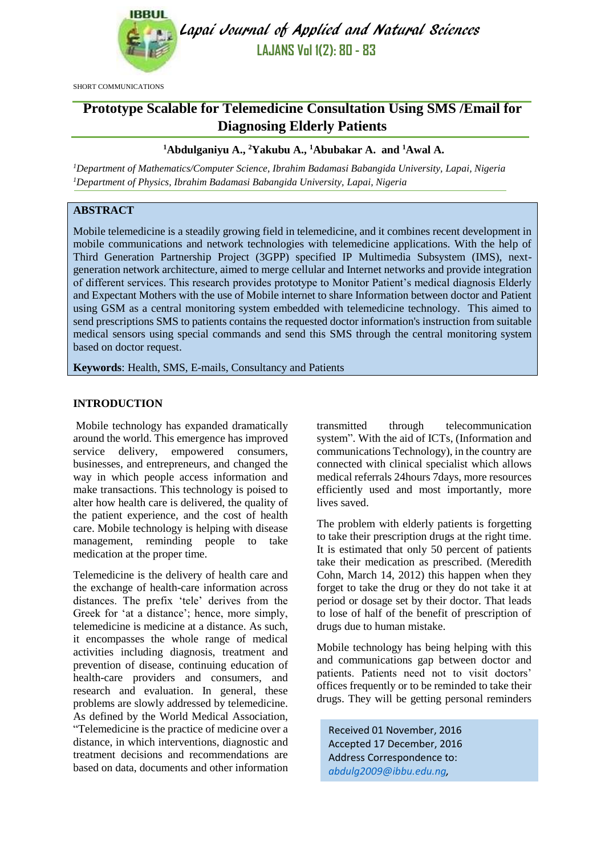

Lapai Journal of Applied and Natural Sciences **LAJANS Vol 1(2): 80 - 83**

SHORT COMMUNICATIONS

# **Prototype Scalable for Telemedicine Consultation Using SMS /Email for Diagnosing Elderly Patients**

# **<sup>1</sup>Abdulganiyu A., <sup>2</sup>Yakubu A., <sup>1</sup>Abubakar A. and <sup>1</sup>Awal A.**

*<sup>1</sup>Department of Mathematics/Computer Science, Ibrahim Badamasi Babangida University, Lapai, Nigeria <sup>1</sup>Department of Physics, Ibrahim Badamasi Babangida University, Lapai, Nigeria*

# **ABSTRACT**

Mobile telemedicine is a steadily growing field in telemedicine, and it combines recent development in mobile communications and network technologies with telemedicine applications. With the help of Third Generation Partnership Project (3GPP) specified IP Multimedia Subsystem (IMS), nextgeneration network architecture, aimed to merge cellular and Internet networks and provide integration of different services. This research provides prototype to Monitor Patient's medical diagnosis Elderly and Expectant Mothers with the use of Mobile internet to share Information between doctor and Patient using GSM as a central monitoring system embedded with telemedicine technology. This aimed to send prescriptions SMS to patients contains the requested doctor information's instruction from suitable medical sensors using special commands and send this SMS through the central monitoring system based on doctor request.

**Keywords**: Health, SMS, E-mails, Consultancy and Patients

#### **INTRODUCTION**

Mobile technology has expanded dramatically around the world. This emergence has improved service delivery, empowered consumers, businesses, and entrepreneurs, and changed the way in which people access information and make transactions. This technology is poised to alter how health care is delivered, the quality of the patient experience, and the cost of health care. Mobile technology is helping with disease management, reminding people to take medication at the proper time.

Telemedicine is the delivery of health care and the exchange of health-care information across distances. The prefix 'tele' derives from the Greek for 'at a distance'; hence, more simply, telemedicine is medicine at a distance. As such, it encompasses the whole range of medical activities including diagnosis, treatment and prevention of disease, continuing education of health-care providers and consumers, and research and evaluation. In general, these problems are slowly addressed by telemedicine. As defined by the World Medical Association, "Telemedicine is the practice of medicine over a distance, in which interventions, diagnostic and treatment decisions and recommendations are based on data, documents and other information transmitted through telecommunication system". With the aid of ICTs, (Information and communications Technology), in the country are connected with clinical specialist which allows medical referrals 24hours 7days, more resources efficiently used and most importantly, more lives saved.

The problem with elderly patients is forgetting to take their prescription drugs at the right time. It is estimated that only 50 percent of patients take their medication as prescribed. (Meredith Cohn, March 14, 2012) this happen when they forget to take the drug or they do not take it at period or dosage set by their doctor. That leads to lose of half of the benefit of prescription of drugs due to human mistake.

Mobile technology has being helping with this and communications gap between doctor and patients. Patients need not to visit doctors' offices frequently or to be reminded to take their drugs. They will be getting personal reminders

Received 01 November, 2016 Accepted 17 December, 2016 Address Correspondence to: *[abdulg2009@ibbu.edu.ng,](mailto:abdulg2009@ibbu.edu.ng)*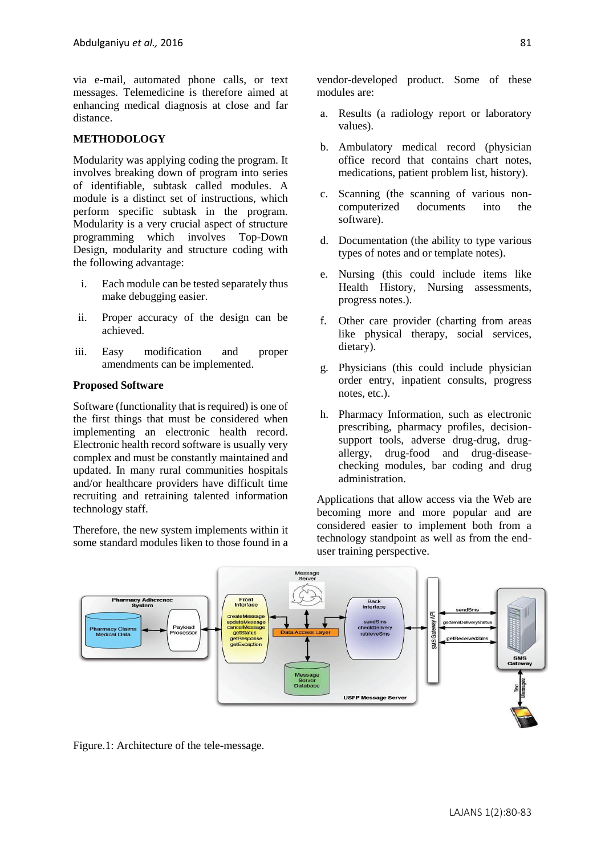via e-mail, automated phone calls, or text messages. Telemedicine is therefore aimed at enhancing medical diagnosis at close and far distance.

## **METHODOLOGY**

Modularity was applying coding the program. It involves breaking down of program into series of identifiable, subtask called modules. A module is a distinct set of instructions, which perform specific subtask in the program. Modularity is a very crucial aspect of structure programming which involves Top-Down Design, modularity and structure coding with the following advantage:

- i. Each module can be tested separately thus make debugging easier.
- ii. Proper accuracy of the design can be achieved.
- iii. Easy modification and proper amendments can be implemented.

#### **Proposed Software**

Software (functionality that is required) is one of the first things that must be considered when implementing an electronic health record. Electronic health record software is usually very complex and must be constantly maintained and updated. In many rural communities hospitals and/or healthcare providers have difficult time recruiting and retraining talented information technology staff.

Therefore, the new system implements within it some standard modules liken to those found in a vendor-developed product. Some of these modules are:

- a. Results (a radiology report or laboratory values).
- b. Ambulatory medical record (physician office record that contains chart notes, medications, patient problem list, history).
- c. Scanning (the scanning of various noncomputerized documents into the software).
- d. Documentation (the ability to type various types of notes and or template notes).
- e. Nursing (this could include items like Health History, Nursing assessments, progress notes.).
- f. Other care provider (charting from areas like physical therapy, social services, dietary).
- g. Physicians (this could include physician order entry, inpatient consults, progress notes, etc.).
- h. Pharmacy Information, such as electronic prescribing, pharmacy profiles, decisionsupport tools, adverse drug-drug, drugallergy, drug-food and drug-diseasechecking modules, bar coding and drug administration.

Applications that allow access via the Web are becoming more and more popular and are considered easier to implement both from a technology standpoint as well as from the enduser training perspective.



Figure.1: Architecture of the tele-message.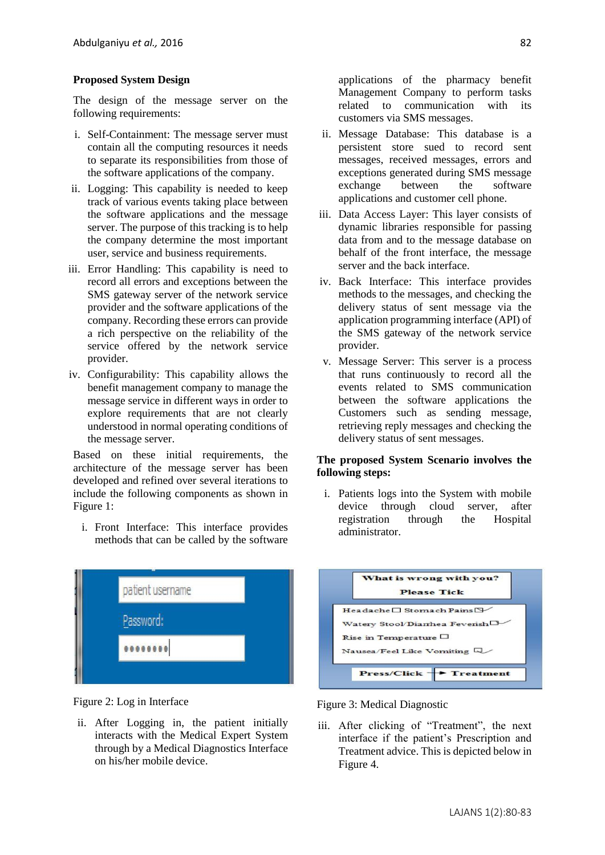# **Proposed System Design**

The design of the message server on the following requirements:

- i. Self-Containment: The message server must contain all the computing resources it needs to separate its responsibilities from those of the software applications of the company.
- ii. Logging: This capability is needed to keep track of various events taking place between the software applications and the message server. The purpose of this tracking is to help the company determine the most important user, service and business requirements.
- iii. Error Handling: This capability is need to record all errors and exceptions between the SMS gateway server of the network service provider and the software applications of the company. Recording these errors can provide a rich perspective on the reliability of the service offered by the network service provider.
- iv. Configurability: This capability allows the benefit management company to manage the message service in different ways in order to explore requirements that are not clearly understood in normal operating conditions of the message server.

Based on these initial requirements, the architecture of the message server has been developed and refined over several iterations to include the following components as shown in Figure 1:

i. Front Interface: This interface provides methods that can be called by the software



Figure 2: Log in Interface

ii. After Logging in, the patient initially interacts with the Medical Expert System through by a Medical Diagnostics Interface on his/her mobile device.

applications of the pharmacy benefit Management Company to perform tasks related to communication with its customers via SMS messages.

- ii. Message Database: This database is a persistent store sued to record sent messages, received messages, errors and exceptions generated during SMS message exchange between the software applications and customer cell phone.
- iii. Data Access Layer: This layer consists of dynamic libraries responsible for passing data from and to the message database on behalf of the front interface, the message server and the back interface.
- iv. Back Interface: This interface provides methods to the messages, and checking the delivery status of sent message via the application programming interface (API) of the SMS gateway of the network service provider.
- v. Message Server: This server is a process that runs continuously to record all the events related to SMS communication between the software applications the Customers such as sending message, retrieving reply messages and checking the delivery status of sent messages.

## **The proposed System Scenario involves the following steps:**

i. Patients logs into the System with mobile device through cloud server, after registration through the Hospital administrator.



Figure 3: Medical Diagnostic

iii. After clicking of "Treatment", the next interface if the patient's Prescription and Treatment advice. This is depicted below in Figure 4.